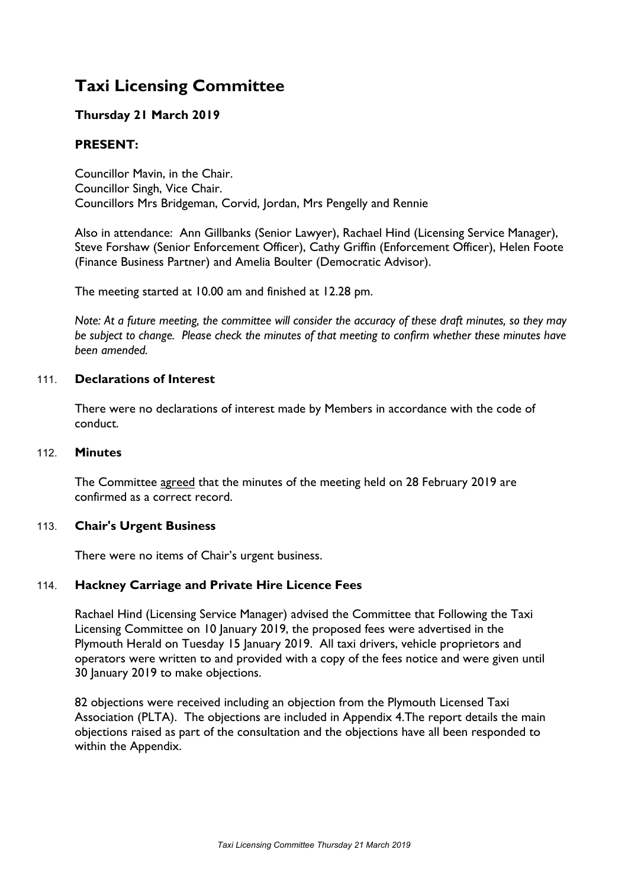# **Taxi Licensing Committee**

## **Thursday 21 March 2019**

## **PRESENT:**

Councillor Mavin, in the Chair. Councillor Singh, Vice Chair. Councillors Mrs Bridgeman, Corvid, Jordan, Mrs Pengelly and Rennie

Also in attendance: Ann Gillbanks (Senior Lawyer), Rachael Hind (Licensing Service Manager), Steve Forshaw (Senior Enforcement Officer), Cathy Griffin (Enforcement Officer), Helen Foote (Finance Business Partner) and Amelia Boulter (Democratic Advisor).

The meeting started at 10.00 am and finished at 12.28 pm.

Note: At a future meeting, the committee will consider the accuracy of these draft minutes, so they may *be subject to change. Please check the minutes of that meeting to confirm whether these minutes have been amended.*

### 111. **Declarations of Interest**

There were no declarations of interest made by Members in accordance with the code of conduct.

#### 112. **Minutes**

The Committee agreed that the minutes of the meeting held on 28 February 2019 are confirmed as a correct record.

### 113. **Chair's Urgent Business**

There were no items of Chair's urgent business.

### 114. **Hackney Carriage and Private Hire Licence Fees**

Rachael Hind (Licensing Service Manager) advised the Committee that Following the Taxi Licensing Committee on 10 January 2019, the proposed fees were advertised in the Plymouth Herald on Tuesday 15 January 2019. All taxi drivers, vehicle proprietors and operators were written to and provided with a copy of the fees notice and were given until 30 January 2019 to make objections.

82 objections were received including an objection from the Plymouth Licensed Taxi Association (PLTA). The objections are included in Appendix 4.The report details the main objections raised as part of the consultation and the objections have all been responded to within the Appendix.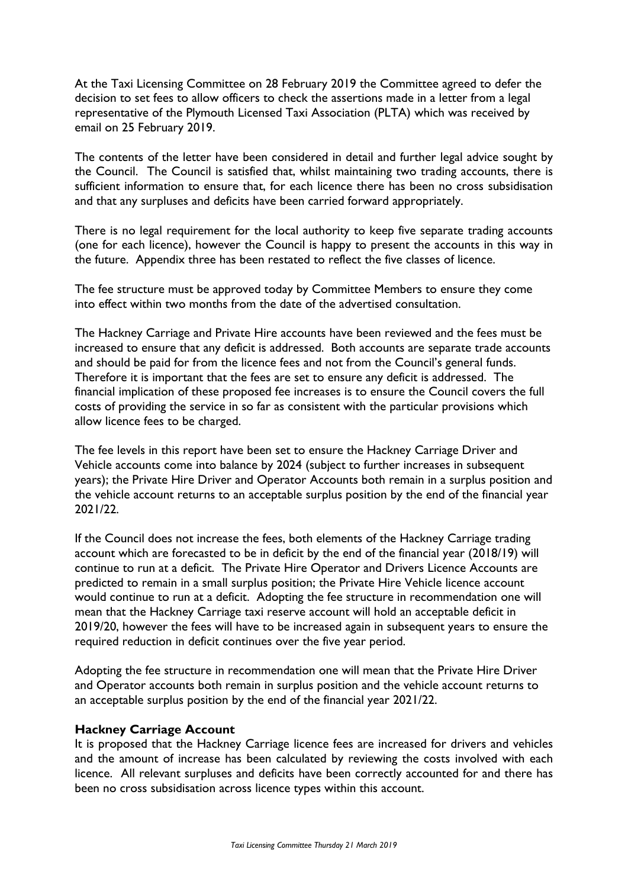At the Taxi Licensing Committee on 28 February 2019 the Committee agreed to defer the decision to set fees to allow officers to check the assertions made in a letter from a legal representative of the Plymouth Licensed Taxi Association (PLTA) which was received by email on 25 February 2019.

The contents of the letter have been considered in detail and further legal advice sought by the Council. The Council is satisfied that, whilst maintaining two trading accounts, there is sufficient information to ensure that, for each licence there has been no cross subsidisation and that any surpluses and deficits have been carried forward appropriately.

There is no legal requirement for the local authority to keep five separate trading accounts (one for each licence), however the Council is happy to present the accounts in this way in the future. Appendix three has been restated to reflect the five classes of licence.

The fee structure must be approved today by Committee Members to ensure they come into effect within two months from the date of the advertised consultation.

The Hackney Carriage and Private Hire accounts have been reviewed and the fees must be increased to ensure that any deficit is addressed. Both accounts are separate trade accounts and should be paid for from the licence fees and not from the Council's general funds. Therefore it is important that the fees are set to ensure any deficit is addressed. The financial implication of these proposed fee increases is to ensure the Council covers the full costs of providing the service in so far as consistent with the particular provisions which allow licence fees to be charged.

The fee levels in this report have been set to ensure the Hackney Carriage Driver and Vehicle accounts come into balance by 2024 (subject to further increases in subsequent years); the Private Hire Driver and Operator Accounts both remain in a surplus position and the vehicle account returns to an acceptable surplus position by the end of the financial year 2021/22.

If the Council does not increase the fees, both elements of the Hackney Carriage trading account which are forecasted to be in deficit by the end of the financial year (2018/19) will continue to run at a deficit. The Private Hire Operator and Drivers Licence Accounts are predicted to remain in a small surplus position; the Private Hire Vehicle licence account would continue to run at a deficit. Adopting the fee structure in recommendation one will mean that the Hackney Carriage taxi reserve account will hold an acceptable deficit in 2019/20, however the fees will have to be increased again in subsequent years to ensure the required reduction in deficit continues over the five year period.

Adopting the fee structure in recommendation one will mean that the Private Hire Driver and Operator accounts both remain in surplus position and the vehicle account returns to an acceptable surplus position by the end of the financial year 2021/22.

### **Hackney Carriage Account**

It is proposed that the Hackney Carriage licence fees are increased for drivers and vehicles and the amount of increase has been calculated by reviewing the costs involved with each licence. All relevant surpluses and deficits have been correctly accounted for and there has been no cross subsidisation across licence types within this account.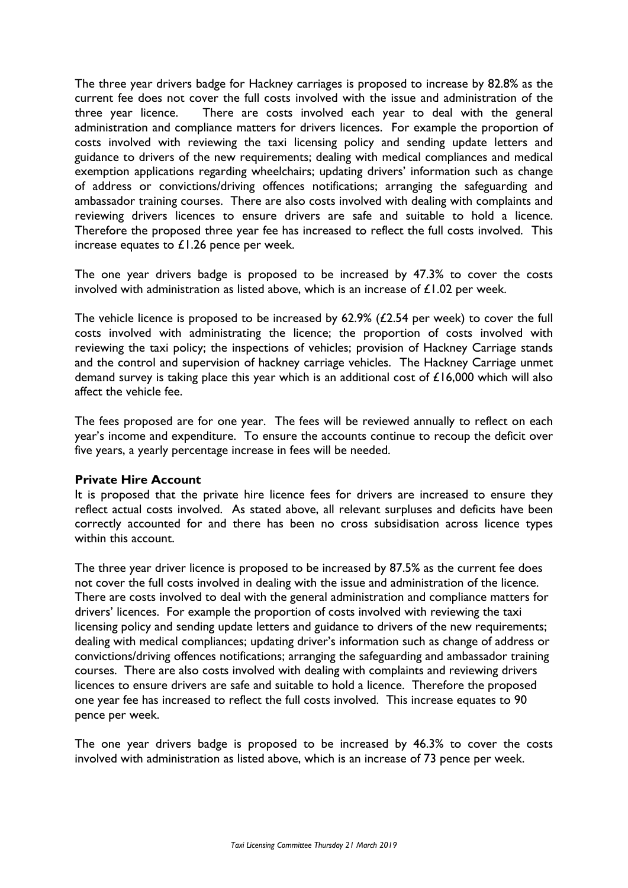The three year drivers badge for Hackney carriages is proposed to increase by 82.8% as the current fee does not cover the full costs involved with the issue and administration of the three year licence. There are costs involved each year to deal with the general administration and compliance matters for drivers licences. For example the proportion of costs involved with reviewing the taxi licensing policy and sending update letters and guidance to drivers of the new requirements; dealing with medical compliances and medical exemption applications regarding wheelchairs; updating drivers' information such as change of address or convictions/driving offences notifications; arranging the safeguarding and ambassador training courses. There are also costs involved with dealing with complaints and reviewing drivers licences to ensure drivers are safe and suitable to hold a licence. Therefore the proposed three year fee has increased to reflect the full costs involved. This increase equates to £1.26 pence per week.

The one year drivers badge is proposed to be increased by 47.3% to cover the costs involved with administration as listed above, which is an increase of £1.02 per week.

The vehicle licence is proposed to be increased by 62.9% (£2.54 per week) to cover the full costs involved with administrating the licence; the proportion of costs involved with reviewing the taxi policy; the inspections of vehicles; provision of Hackney Carriage stands and the control and supervision of hackney carriage vehicles. The Hackney Carriage unmet demand survey is taking place this year which is an additional cost of £16,000 which will also affect the vehicle fee.

The fees proposed are for one year. The fees will be reviewed annually to reflect on each year's income and expenditure. To ensure the accounts continue to recoup the deficit over five years, a yearly percentage increase in fees will be needed.

### **Private Hire Account**

It is proposed that the private hire licence fees for drivers are increased to ensure they reflect actual costs involved. As stated above, all relevant surpluses and deficits have been correctly accounted for and there has been no cross subsidisation across licence types within this account.

The three year driver licence is proposed to be increased by 87.5% as the current fee does not cover the full costs involved in dealing with the issue and administration of the licence. There are costs involved to deal with the general administration and compliance matters for drivers' licences. For example the proportion of costs involved with reviewing the taxi licensing policy and sending update letters and guidance to drivers of the new requirements; dealing with medical compliances; updating driver's information such as change of address or convictions/driving offences notifications; arranging the safeguarding and ambassador training courses. There are also costs involved with dealing with complaints and reviewing drivers licences to ensure drivers are safe and suitable to hold a licence. Therefore the proposed one year fee has increased to reflect the full costs involved. This increase equates to 90 pence per week.

The one year drivers badge is proposed to be increased by 46.3% to cover the costs involved with administration as listed above, which is an increase of 73 pence per week.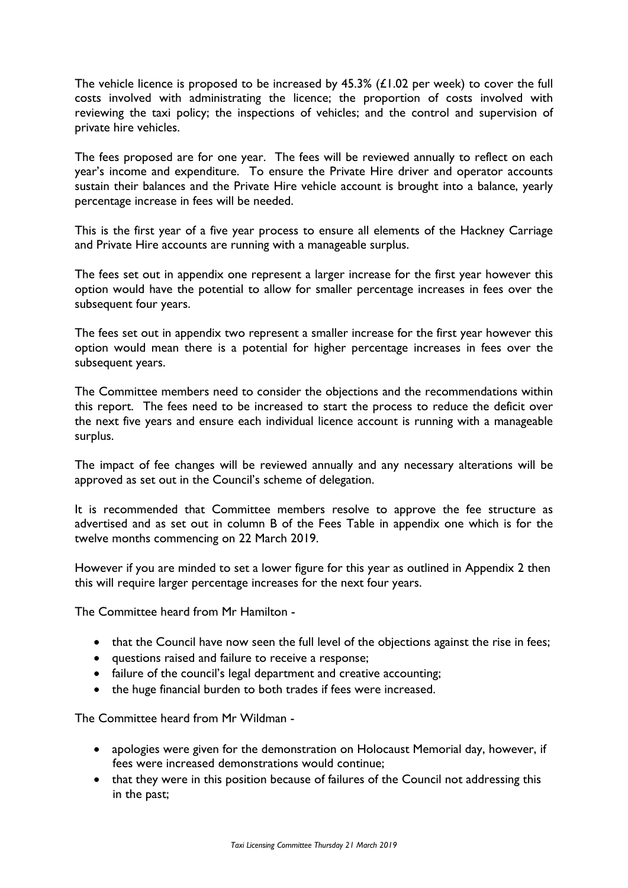The vehicle licence is proposed to be increased by 45.3% (£1.02 per week) to cover the full costs involved with administrating the licence; the proportion of costs involved with reviewing the taxi policy; the inspections of vehicles; and the control and supervision of private hire vehicles.

The fees proposed are for one year. The fees will be reviewed annually to reflect on each year's income and expenditure. To ensure the Private Hire driver and operator accounts sustain their balances and the Private Hire vehicle account is brought into a balance, yearly percentage increase in fees will be needed.

This is the first year of a five year process to ensure all elements of the Hackney Carriage and Private Hire accounts are running with a manageable surplus.

The fees set out in appendix one represent a larger increase for the first year however this option would have the potential to allow for smaller percentage increases in fees over the subsequent four years.

The fees set out in appendix two represent a smaller increase for the first year however this option would mean there is a potential for higher percentage increases in fees over the subsequent years.

The Committee members need to consider the objections and the recommendations within this report. The fees need to be increased to start the process to reduce the deficit over the next five years and ensure each individual licence account is running with a manageable surplus.

The impact of fee changes will be reviewed annually and any necessary alterations will be approved as set out in the Council's scheme of delegation.

It is recommended that Committee members resolve to approve the fee structure as advertised and as set out in column B of the Fees Table in appendix one which is for the twelve months commencing on 22 March 2019.

However if you are minded to set a lower figure for this year as outlined in Appendix 2 then this will require larger percentage increases for the next four years.

The Committee heard from Mr Hamilton -

- that the Council have now seen the full level of the objections against the rise in fees;
- questions raised and failure to receive a response;
- failure of the council's legal department and creative accounting;
- the huge financial burden to both trades if fees were increased.

The Committee heard from Mr Wildman -

- apologies were given for the demonstration on Holocaust Memorial day, however, if fees were increased demonstrations would continue;
- that they were in this position because of failures of the Council not addressing this in the past;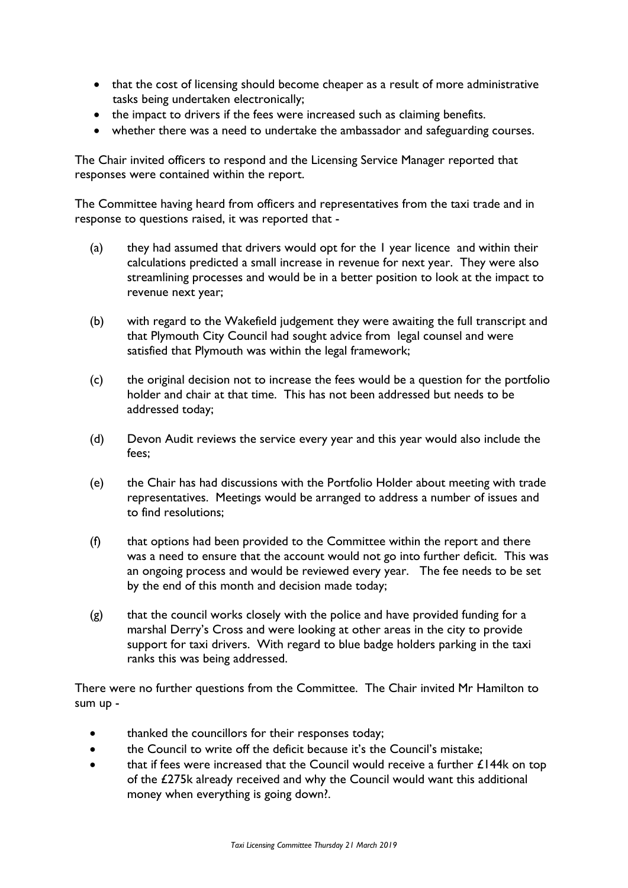- that the cost of licensing should become cheaper as a result of more administrative tasks being undertaken electronically;
- the impact to drivers if the fees were increased such as claiming benefits.
- whether there was a need to undertake the ambassador and safeguarding courses.

The Chair invited officers to respond and the Licensing Service Manager reported that responses were contained within the report.

The Committee having heard from officers and representatives from the taxi trade and in response to questions raised, it was reported that -

- (a) they had assumed that drivers would opt for the 1 year licence and within their calculations predicted a small increase in revenue for next year. They were also streamlining processes and would be in a better position to look at the impact to revenue next year;
- (b) with regard to the Wakefield judgement they were awaiting the full transcript and that Plymouth City Council had sought advice from legal counsel and were satisfied that Plymouth was within the legal framework;
- (c) the original decision not to increase the fees would be a question for the portfolio holder and chair at that time. This has not been addressed but needs to be addressed today;
- (d) Devon Audit reviews the service every year and this year would also include the fees;
- (e) the Chair has had discussions with the Portfolio Holder about meeting with trade representatives. Meetings would be arranged to address a number of issues and to find resolutions;
- (f) that options had been provided to the Committee within the report and there was a need to ensure that the account would not go into further deficit. This was an ongoing process and would be reviewed every year. The fee needs to be set by the end of this month and decision made today;
- $(g)$  that the council works closely with the police and have provided funding for a marshal Derry's Cross and were looking at other areas in the city to provide support for taxi drivers. With regard to blue badge holders parking in the taxi ranks this was being addressed.

There were no further questions from the Committee. The Chair invited Mr Hamilton to sum up -

- thanked the councillors for their responses today;
- the Council to write off the deficit because it's the Council's mistake;
- that if fees were increased that the Council would receive a further  $£144k$  on top of the £275k already received and why the Council would want this additional money when everything is going down?.